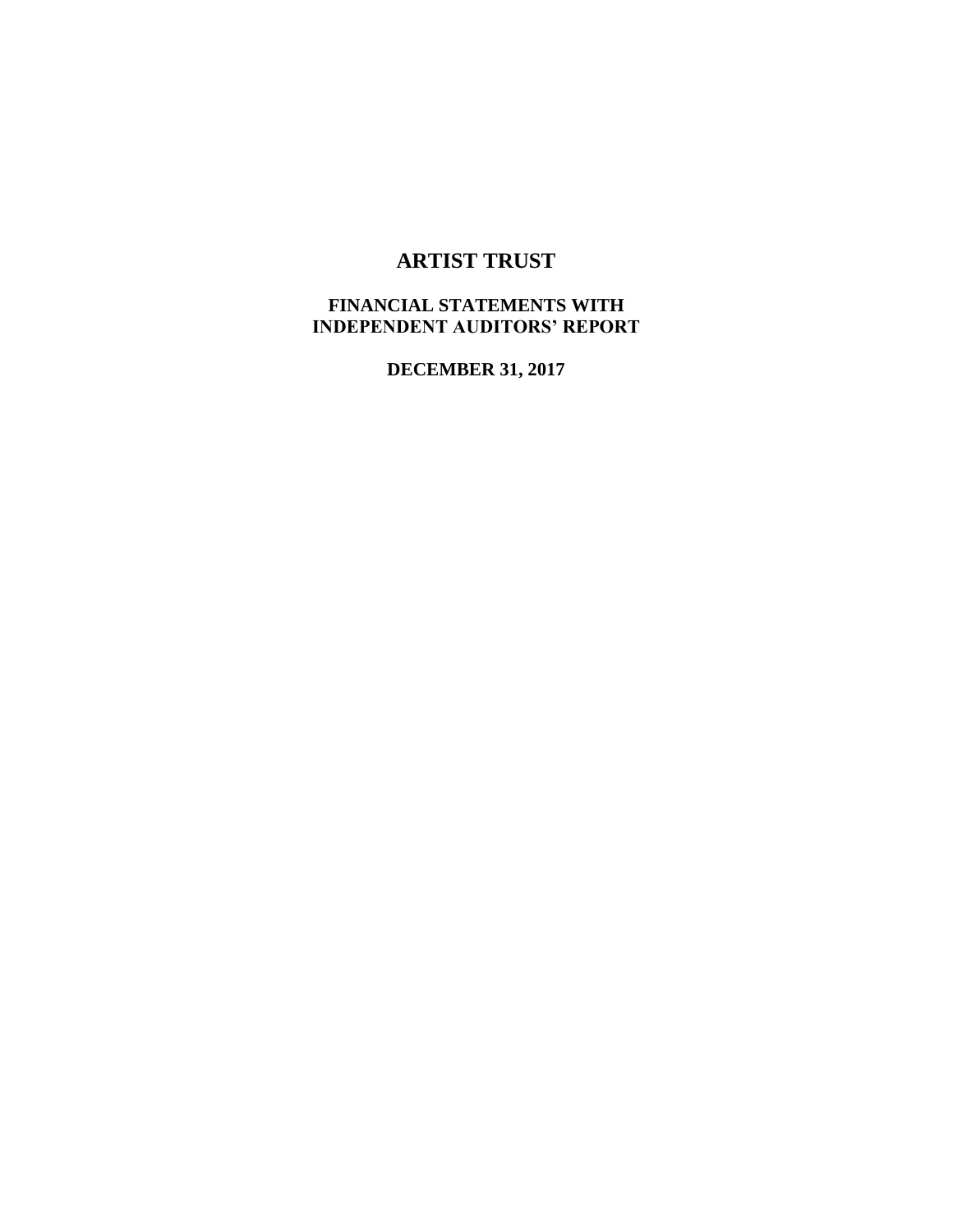# **ARTIST TRUST**

### **FINANCIAL STATEMENTS WITH INDEPENDENT AUDITORS' REPORT**

**DECEMBER 31, 2017**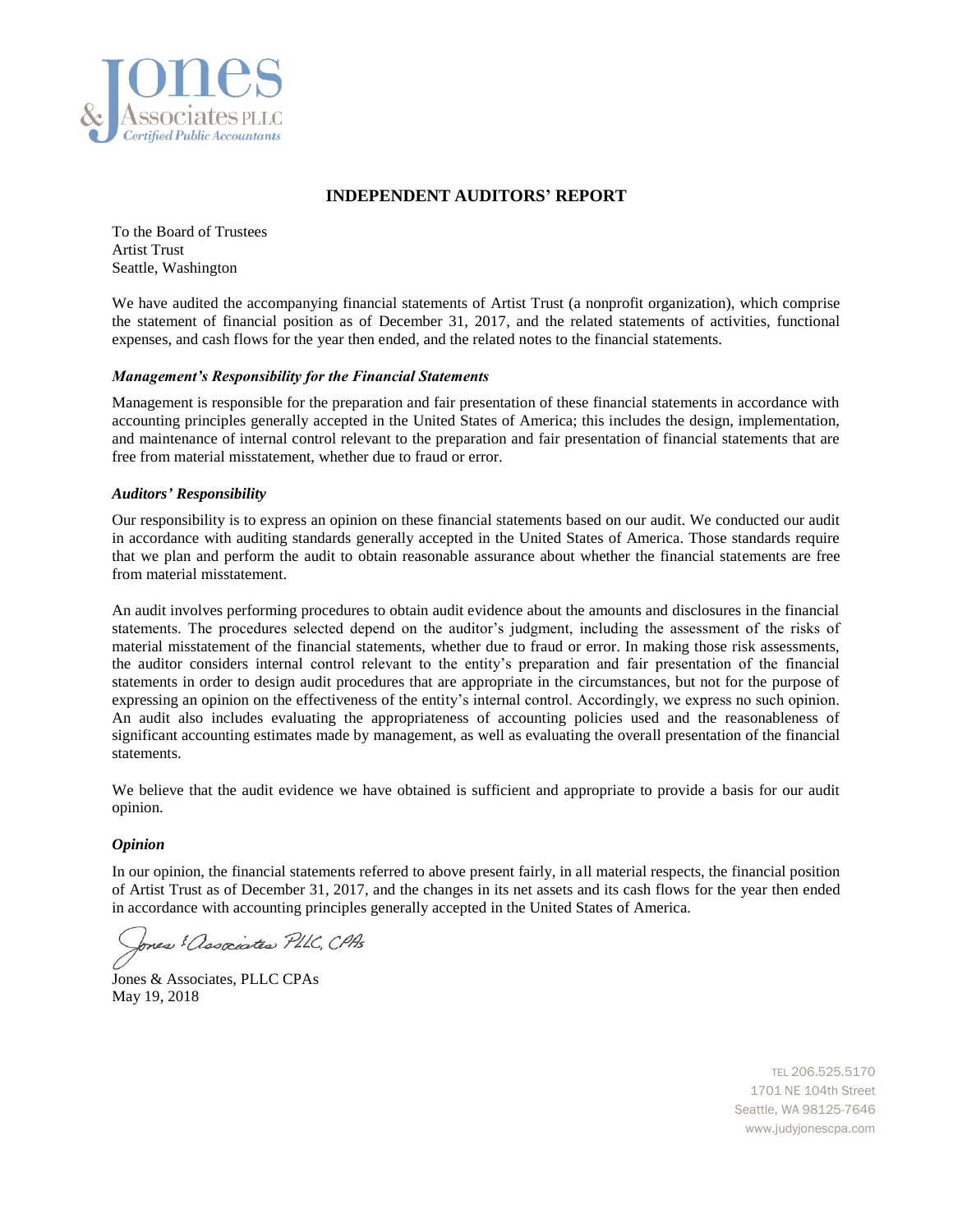

#### **INDEPENDENT AUDITORS' REPORT**

To the Board of Trustees Artist Trust Seattle, Washington

We have audited the accompanying financial statements of Artist Trust (a nonprofit organization), which comprise the statement of financial position as of December 31, 2017, and the related statements of activities, functional expenses, and cash flows for the year then ended, and the related notes to the financial statements.

#### *Management's Responsibility for the Financial Statements*

Management is responsible for the preparation and fair presentation of these financial statements in accordance with accounting principles generally accepted in the United States of America; this includes the design, implementation, and maintenance of internal control relevant to the preparation and fair presentation of financial statements that are free from material misstatement, whether due to fraud or error.

#### *Auditors' Responsibility*

Our responsibility is to express an opinion on these financial statements based on our audit. We conducted our audit in accordance with auditing standards generally accepted in the United States of America. Those standards require that we plan and perform the audit to obtain reasonable assurance about whether the financial statements are free from material misstatement.

An audit involves performing procedures to obtain audit evidence about the amounts and disclosures in the financial statements. The procedures selected depend on the auditor's judgment, including the assessment of the risks of material misstatement of the financial statements, whether due to fraud or error. In making those risk assessments, the auditor considers internal control relevant to the entity's preparation and fair presentation of the financial statements in order to design audit procedures that are appropriate in the circumstances, but not for the purpose of expressing an opinion on the effectiveness of the entity's internal control. Accordingly, we express no such opinion. An audit also includes evaluating the appropriateness of accounting policies used and the reasonableness of significant accounting estimates made by management, as well as evaluating the overall presentation of the financial statements.

We believe that the audit evidence we have obtained is sufficient and appropriate to provide a basis for our audit opinion.

#### *Opinion*

In our opinion, the financial statements referred to above present fairly, in all material respects, the financial position of Artist Trust as of December 31, 2017, and the changes in its net assets and its cash flows for the year then ended in accordance with accounting principles generally accepted in the United States of America.

ones ! associates PLLC, CPAs

Jones & Associates, PLLC CPAs May 19, 2018

TEL 206.525.5170 1701 NE 104th Street Seattle, WA 98125-7646 www.judyjonescpa.com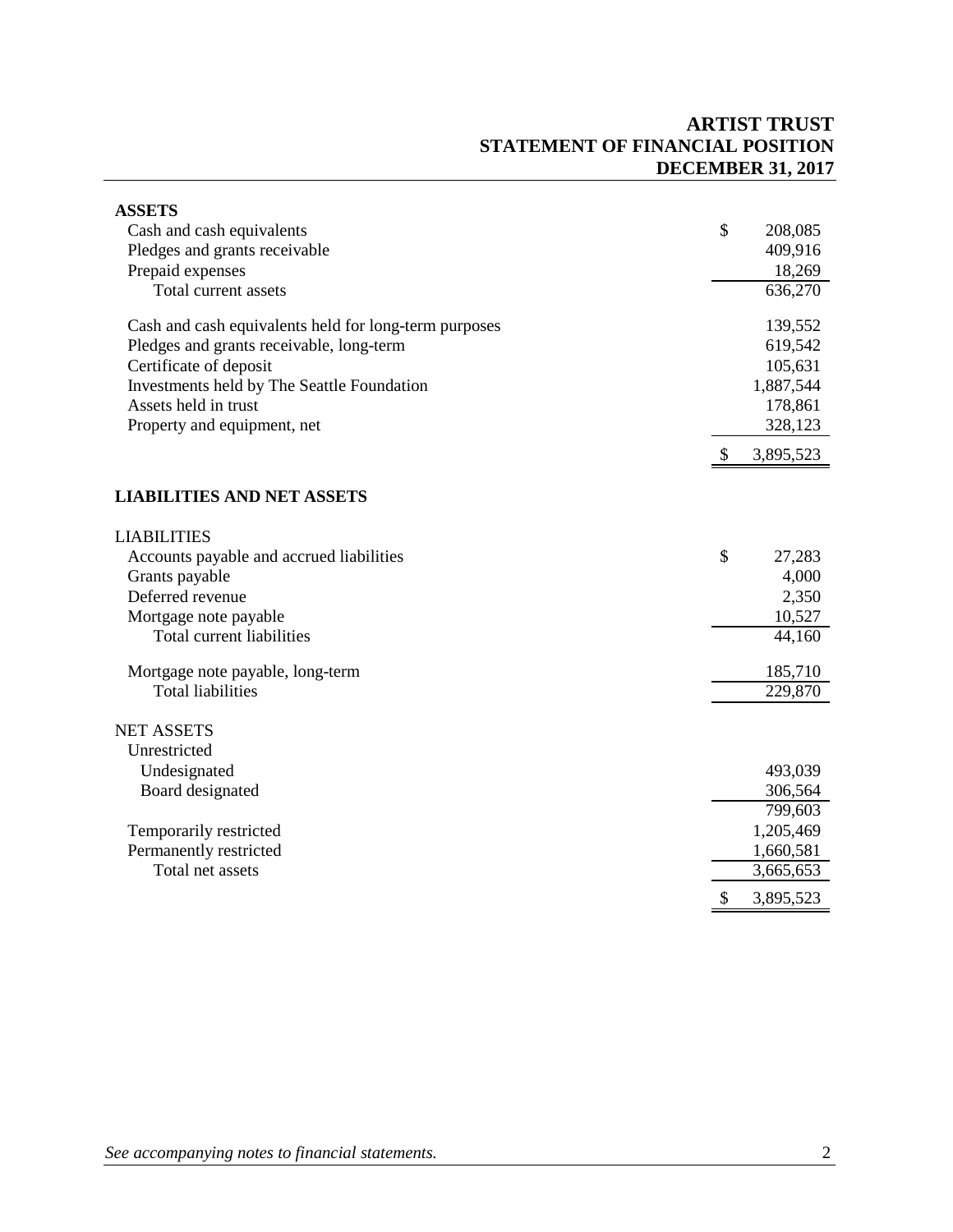## **ARTIST TRUST STATEMENT OF FINANCIAL POSITION DECEMBER 31, 2017**

| <b>ASSETS</b>                                         |                           |           |
|-------------------------------------------------------|---------------------------|-----------|
| Cash and cash equivalents                             | \$                        | 208,085   |
| Pledges and grants receivable                         |                           | 409,916   |
| Prepaid expenses                                      |                           | 18,269    |
| Total current assets                                  |                           | 636,270   |
| Cash and cash equivalents held for long-term purposes |                           | 139,552   |
| Pledges and grants receivable, long-term              |                           | 619,542   |
| Certificate of deposit                                |                           | 105,631   |
| Investments held by The Seattle Foundation            |                           | 1,887,544 |
| Assets held in trust                                  |                           | 178,861   |
| Property and equipment, net                           |                           | 328,123   |
|                                                       | $\boldsymbol{\mathsf{S}}$ | 3,895,523 |
| <b>LIABILITIES AND NET ASSETS</b>                     |                           |           |
| <b>LIABILITIES</b>                                    |                           |           |
| Accounts payable and accrued liabilities              | \$                        | 27,283    |
| Grants payable                                        |                           | 4,000     |
| Deferred revenue                                      |                           | 2,350     |
| Mortgage note payable                                 |                           | 10,527    |
| Total current liabilities                             |                           | 44,160    |
| Mortgage note payable, long-term                      |                           | 185,710   |
| <b>Total liabilities</b>                              |                           | 229,870   |
| <b>NET ASSETS</b>                                     |                           |           |
| Unrestricted                                          |                           |           |
| Undesignated                                          |                           | 493,039   |
| Board designated                                      |                           | 306,564   |
|                                                       |                           | 799,603   |
| Temporarily restricted                                |                           | 1,205,469 |
| Permanently restricted                                |                           | 1,660,581 |
| Total net assets                                      |                           | 3,665,653 |
|                                                       | \$                        | 3,895,523 |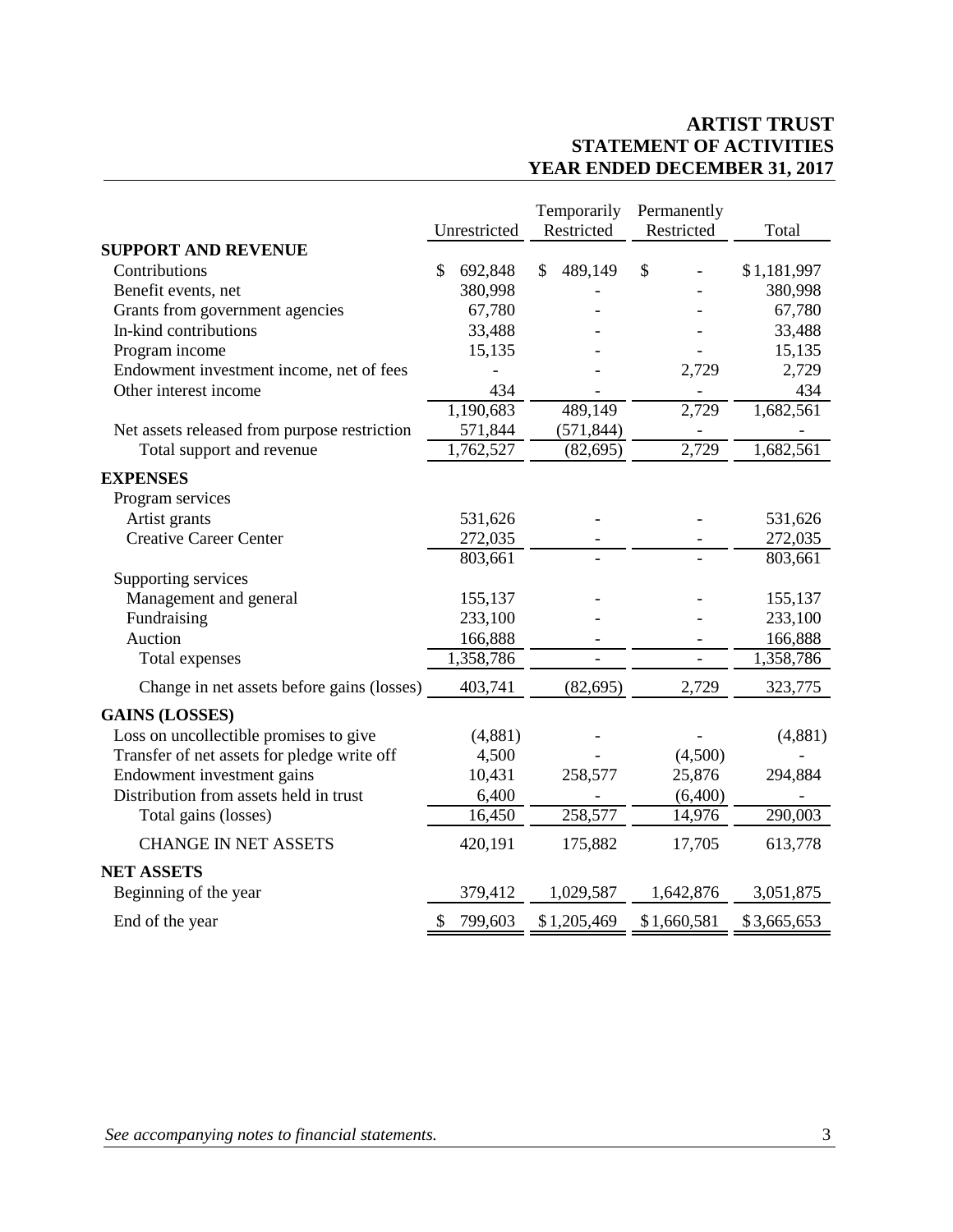## **ARTIST TRUST STATEMENT OF ACTIVITIES YEAR ENDED DECEMBER 31, 2017**

|                                              |               | Temporarily   | Permanently    |             |
|----------------------------------------------|---------------|---------------|----------------|-------------|
|                                              | Unrestricted  | Restricted    | Restricted     | Total       |
| <b>SUPPORT AND REVENUE</b>                   |               |               |                |             |
| Contributions                                | 692,848<br>\$ | \$<br>489,149 | \$             | \$1,181,997 |
| Benefit events, net                          | 380,998       |               |                | 380,998     |
| Grants from government agencies              | 67,780        |               |                | 67,780      |
| In-kind contributions                        | 33,488        |               |                | 33,488      |
| Program income                               | 15,135        |               |                | 15,135      |
| Endowment investment income, net of fees     |               |               | 2,729          | 2,729       |
| Other interest income                        | 434           |               |                | 434         |
|                                              | 1,190,683     | 489,149       | 2,729          | 1,682,561   |
| Net assets released from purpose restriction | 571,844       | (571, 844)    |                |             |
| Total support and revenue                    | 1,762,527     | (82, 695)     | 2,729          | 1,682,561   |
| <b>EXPENSES</b>                              |               |               |                |             |
| Program services                             |               |               |                |             |
| Artist grants                                | 531,626       |               |                | 531,626     |
| <b>Creative Career Center</b>                | 272,035       |               |                | 272,035     |
|                                              | 803,661       |               | $\overline{a}$ | 803,661     |
| Supporting services                          |               |               |                |             |
| Management and general                       | 155,137       |               |                | 155,137     |
| Fundraising                                  | 233,100       |               |                | 233,100     |
| Auction                                      | 166,888       |               |                | 166,888     |
| Total expenses                               | 1,358,786     |               |                | 1,358,786   |
| Change in net assets before gains (losses)   | 403,741       | (82, 695)     | 2,729          | 323,775     |
| <b>GAINS (LOSSES)</b>                        |               |               |                |             |
| Loss on uncollectible promises to give       | (4,881)       |               |                | (4,881)     |
| Transfer of net assets for pledge write off  | 4,500         |               | (4,500)        |             |
| Endowment investment gains                   | 10,431        | 258,577       | 25,876         | 294,884     |
| Distribution from assets held in trust       | 6,400         |               | (6,400)        |             |
| Total gains (losses)                         | 16,450        | 258,577       | 14,976         | 290,003     |
| <b>CHANGE IN NET ASSETS</b>                  | 420,191       | 175,882       | 17,705         | 613,778     |
| <b>NET ASSETS</b>                            |               |               |                |             |
| Beginning of the year                        | 379,412       | 1,029,587     | 1,642,876      | 3,051,875   |
| End of the year                              | 799,603<br>\$ | \$1,205,469   | \$1,660,581    | \$3,665,653 |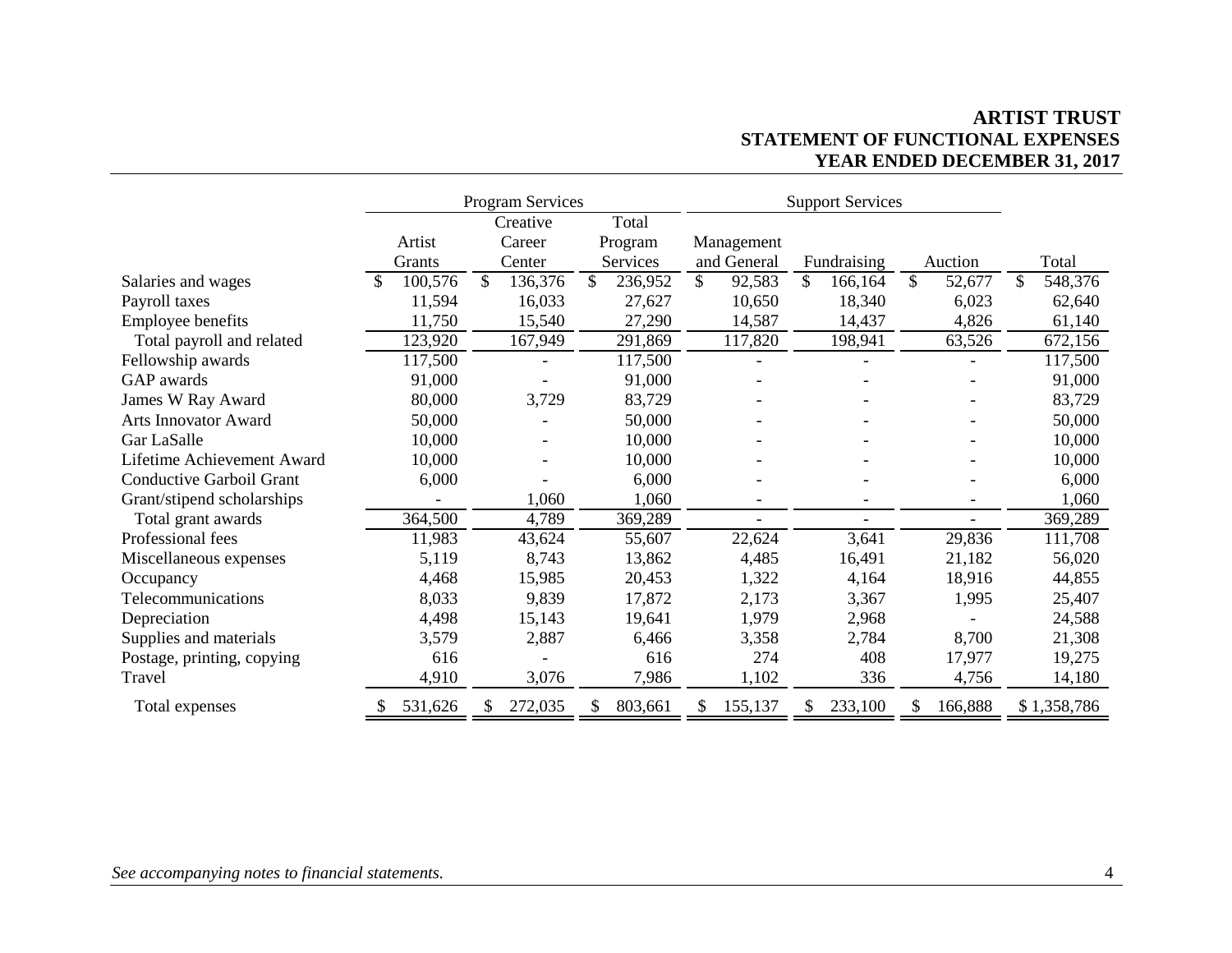### **ARTIST TRUST STATEMENT OF FUNCTIONAL EXPENSES YEAR ENDED DECEMBER 31, 2017**

|                                 |               | <b>Program Services</b> |               |                        | <b>Support Services</b> |                |               |
|---------------------------------|---------------|-------------------------|---------------|------------------------|-------------------------|----------------|---------------|
|                                 |               | Creative                | Total         |                        |                         |                |               |
|                                 | Artist        | Career                  | Program       | Management             |                         |                |               |
|                                 | Grants        | Center                  | Services      | and General            | Fundraising             | Auction        | Total         |
| Salaries and wages              | 100,576<br>\$ | \$<br>136,376           | \$<br>236,952 | $\mathbb{S}$<br>92,583 | \$<br>166,164           | \$<br>52,677   | \$<br>548,376 |
| Payroll taxes                   | 11,594        | 16,033                  | 27,627        | 10,650                 | 18,340                  | 6,023          | 62,640        |
| Employee benefits               | 11,750        | 15,540                  | 27,290        | 14,587                 | 14,437                  | 4,826          | 61,140        |
| Total payroll and related       | 123,920       | 167,949                 | 291,869       | 117,820                | 198,941                 | 63,526         | 672,156       |
| Fellowship awards               | 117,500       |                         | 117,500       |                        |                         |                | 117,500       |
| GAP awards                      | 91,000        |                         | 91,000        |                        |                         |                | 91,000        |
| James W Ray Award               | 80,000        | 3,729                   | 83,729        |                        |                         |                | 83,729        |
| <b>Arts Innovator Award</b>     | 50,000        |                         | 50,000        |                        |                         |                | 50,000        |
| Gar LaSalle                     | 10,000        |                         | 10,000        |                        |                         |                | 10,000        |
| Lifetime Achievement Award      | 10,000        |                         | 10,000        |                        |                         |                | 10,000        |
| <b>Conductive Garboil Grant</b> | 6,000         |                         | 6,000         |                        |                         |                | 6,000         |
| Grant/stipend scholarships      |               | 1,060                   | 1,060         |                        |                         |                | 1,060         |
| Total grant awards              | 364,500       | 4,789                   | 369,289       |                        |                         |                | 369,289       |
| Professional fees               | 11,983        | 43,624                  | 55,607        | 22,624                 | 3,641                   | 29,836         | 111,708       |
| Miscellaneous expenses          | 5,119         | 8,743                   | 13,862        | 4,485                  | 16,491                  | 21,182         | 56,020        |
| Occupancy                       | 4,468         | 15,985                  | 20,453        | 1,322                  | 4,164                   | 18,916         | 44,855        |
| Telecommunications              | 8,033         | 9,839                   | 17,872        | 2,173                  | 3,367                   | 1,995          | 25,407        |
| Depreciation                    | 4,498         | 15,143                  | 19,641        | 1,979                  | 2,968                   |                | 24,588        |
| Supplies and materials          | 3,579         | 2,887                   | 6,466         | 3,358                  | 2,784                   | 8,700          | 21,308        |
| Postage, printing, copying      | 616           |                         | 616           | 274                    | 408                     | 17,977         | 19,275        |
| Travel                          | 4,910         | 3,076                   | 7,986         | 1,102                  | 336                     | 4,756          | 14,180        |
| Total expenses                  | 531,626       | 272,035                 | 803,661       | 155,137                | 233,100                 | 166,888<br>\$. | \$1,358,786   |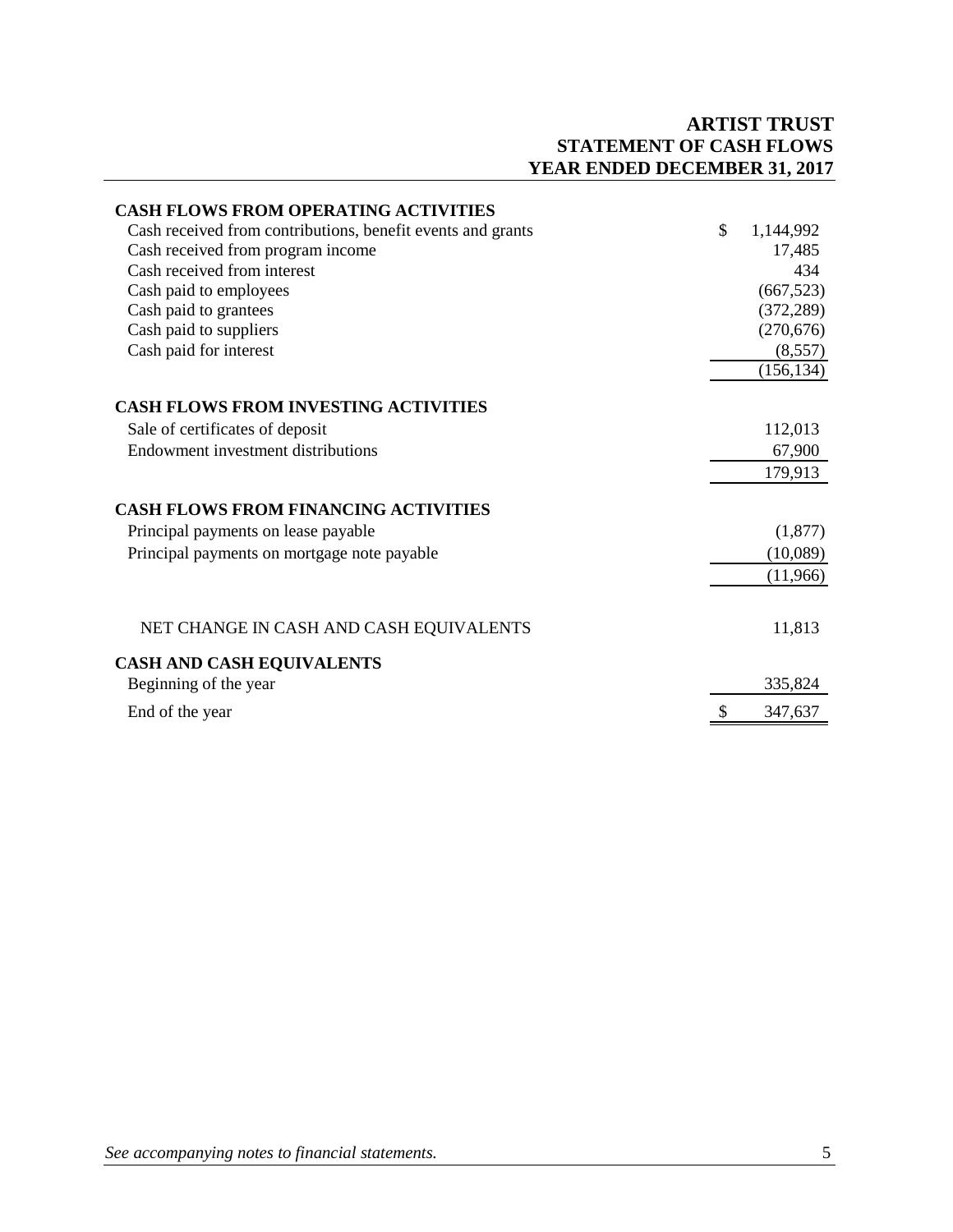## **ARTIST TRUST STATEMENT OF CASH FLOWS YEAR ENDED DECEMBER 31, 2017**

| <b>CASH FLOWS FROM OPERATING ACTIVITIES</b>                 |               |            |
|-------------------------------------------------------------|---------------|------------|
| Cash received from contributions, benefit events and grants | $\mathcal{S}$ | 1,144,992  |
| Cash received from program income                           |               | 17,485     |
| Cash received from interest                                 |               | 434        |
| Cash paid to employees                                      |               | (667, 523) |
| Cash paid to grantees                                       |               | (372, 289) |
| Cash paid to suppliers                                      |               | (270, 676) |
| Cash paid for interest                                      |               | (8,557)    |
|                                                             |               | (156, 134) |
| <b>CASH FLOWS FROM INVESTING ACTIVITIES</b>                 |               |            |
| Sale of certificates of deposit                             |               | 112,013    |
| Endowment investment distributions                          |               | 67,900     |
|                                                             |               | 179,913    |
| <b>CASH FLOWS FROM FINANCING ACTIVITIES</b>                 |               |            |
| Principal payments on lease payable                         |               | (1,877)    |
| Principal payments on mortgage note payable                 |               | (10,089)   |
|                                                             |               | (11,966)   |
|                                                             |               |            |
| NET CHANGE IN CASH AND CASH EQUIVALENTS                     |               | 11,813     |
| <b>CASH AND CASH EQUIVALENTS</b>                            |               |            |
| Beginning of the year                                       |               | 335,824    |
| End of the year                                             | S             | 347,637    |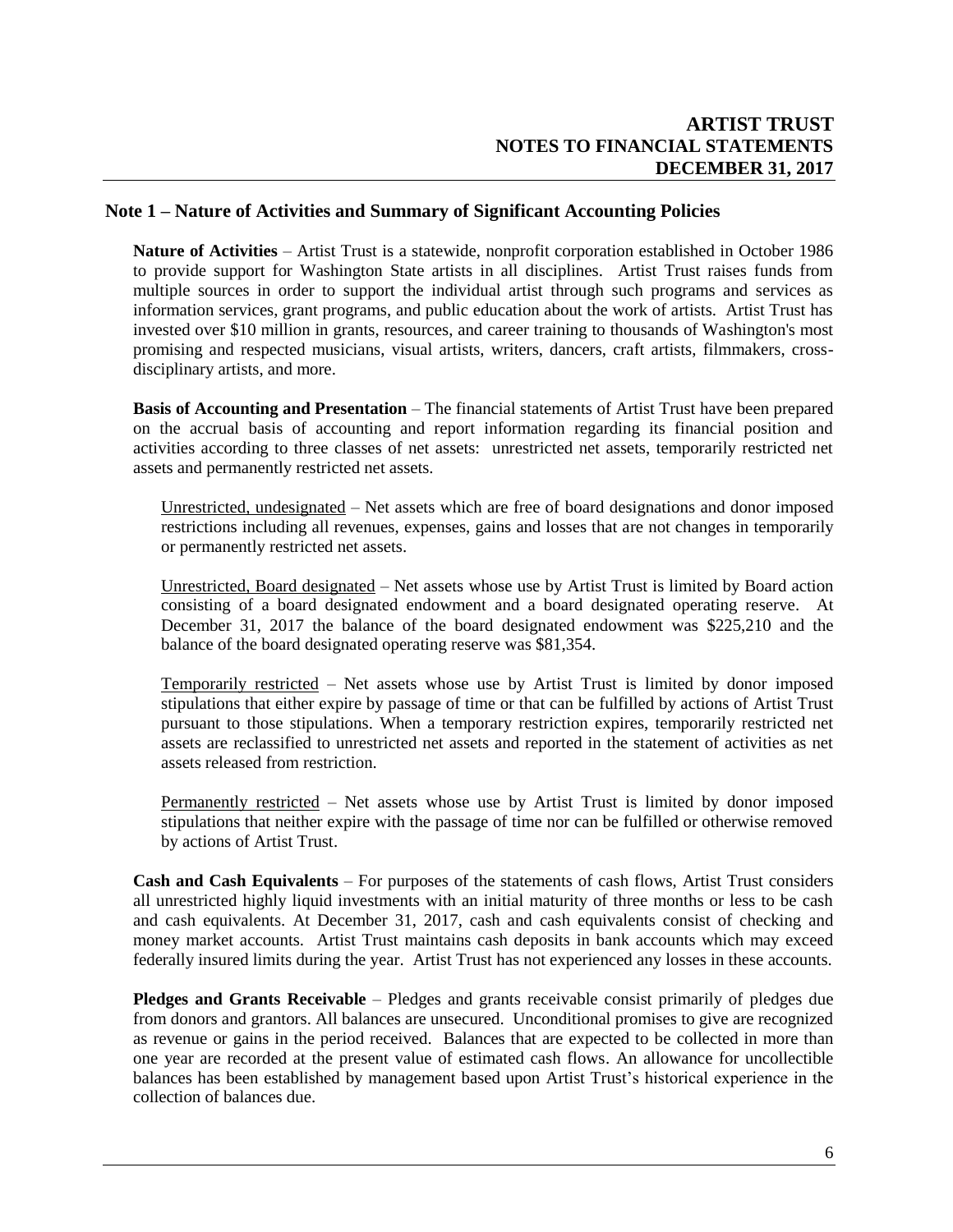### **Note 1 – Nature of Activities and Summary of Significant Accounting Policies**

**Nature of Activities** – Artist Trust is a statewide, nonprofit corporation established in October 1986 to provide support for Washington State artists in all disciplines. Artist Trust raises funds from multiple sources in order to support the individual artist through such programs and services as information services, grant programs, and public education about the work of artists. Artist Trust has invested over \$10 million in grants, resources, and career training to thousands of Washington's most promising and respected musicians, visual artists, writers, dancers, craft artists, filmmakers, crossdisciplinary artists, and more.

**Basis of Accounting and Presentation** – The financial statements of Artist Trust have been prepared on the accrual basis of accounting and report information regarding its financial position and activities according to three classes of net assets: unrestricted net assets, temporarily restricted net assets and permanently restricted net assets.

Unrestricted, undesignated – Net assets which are free of board designations and donor imposed restrictions including all revenues, expenses, gains and losses that are not changes in temporarily or permanently restricted net assets.

Unrestricted, Board designated – Net assets whose use by Artist Trust is limited by Board action consisting of a board designated endowment and a board designated operating reserve. At December 31, 2017 the balance of the board designated endowment was \$225,210 and the balance of the board designated operating reserve was \$81,354.

Temporarily restricted – Net assets whose use by Artist Trust is limited by donor imposed stipulations that either expire by passage of time or that can be fulfilled by actions of Artist Trust pursuant to those stipulations. When a temporary restriction expires, temporarily restricted net assets are reclassified to unrestricted net assets and reported in the statement of activities as net assets released from restriction.

Permanently restricted – Net assets whose use by Artist Trust is limited by donor imposed stipulations that neither expire with the passage of time nor can be fulfilled or otherwise removed by actions of Artist Trust.

**Cash and Cash Equivalents** – For purposes of the statements of cash flows, Artist Trust considers all unrestricted highly liquid investments with an initial maturity of three months or less to be cash and cash equivalents. At December 31, 2017, cash and cash equivalents consist of checking and money market accounts. Artist Trust maintains cash deposits in bank accounts which may exceed federally insured limits during the year. Artist Trust has not experienced any losses in these accounts.

**Pledges and Grants Receivable** – Pledges and grants receivable consist primarily of pledges due from donors and grantors. All balances are unsecured. Unconditional promises to give are recognized as revenue or gains in the period received. Balances that are expected to be collected in more than one year are recorded at the present value of estimated cash flows. An allowance for uncollectible balances has been established by management based upon Artist Trust's historical experience in the collection of balances due.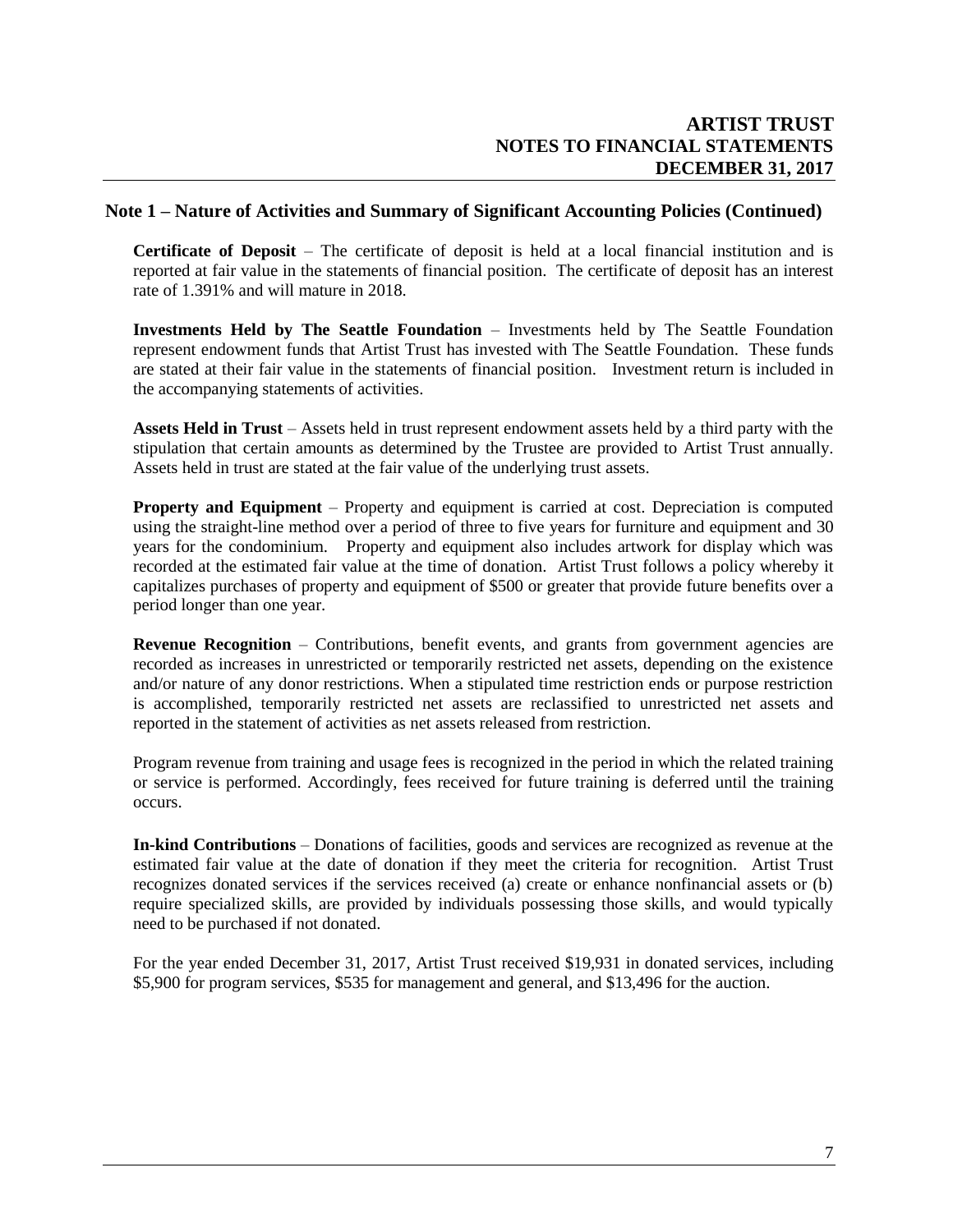#### **Note 1 – Nature of Activities and Summary of Significant Accounting Policies (Continued)**

**Certificate of Deposit** – The certificate of deposit is held at a local financial institution and is reported at fair value in the statements of financial position. The certificate of deposit has an interest rate of 1.391% and will mature in 2018.

**Investments Held by The Seattle Foundation** – Investments held by The Seattle Foundation represent endowment funds that Artist Trust has invested with The Seattle Foundation. These funds are stated at their fair value in the statements of financial position. Investment return is included in the accompanying statements of activities.

**Assets Held in Trust** – Assets held in trust represent endowment assets held by a third party with the stipulation that certain amounts as determined by the Trustee are provided to Artist Trust annually. Assets held in trust are stated at the fair value of the underlying trust assets.

**Property and Equipment** – Property and equipment is carried at cost. Depreciation is computed using the straight-line method over a period of three to five years for furniture and equipment and 30 years for the condominium. Property and equipment also includes artwork for display which was recorded at the estimated fair value at the time of donation. Artist Trust follows a policy whereby it capitalizes purchases of property and equipment of \$500 or greater that provide future benefits over a period longer than one year.

**Revenue Recognition** – Contributions, benefit events, and grants from government agencies are recorded as increases in unrestricted or temporarily restricted net assets, depending on the existence and/or nature of any donor restrictions. When a stipulated time restriction ends or purpose restriction is accomplished, temporarily restricted net assets are reclassified to unrestricted net assets and reported in the statement of activities as net assets released from restriction.

Program revenue from training and usage fees is recognized in the period in which the related training or service is performed. Accordingly, fees received for future training is deferred until the training occurs.

**In-kind Contributions** – Donations of facilities, goods and services are recognized as revenue at the estimated fair value at the date of donation if they meet the criteria for recognition. Artist Trust recognizes donated services if the services received (a) create or enhance nonfinancial assets or (b) require specialized skills, are provided by individuals possessing those skills, and would typically need to be purchased if not donated.

For the year ended December 31, 2017, Artist Trust received \$19,931 in donated services, including \$5,900 for program services, \$535 for management and general, and \$13,496 for the auction.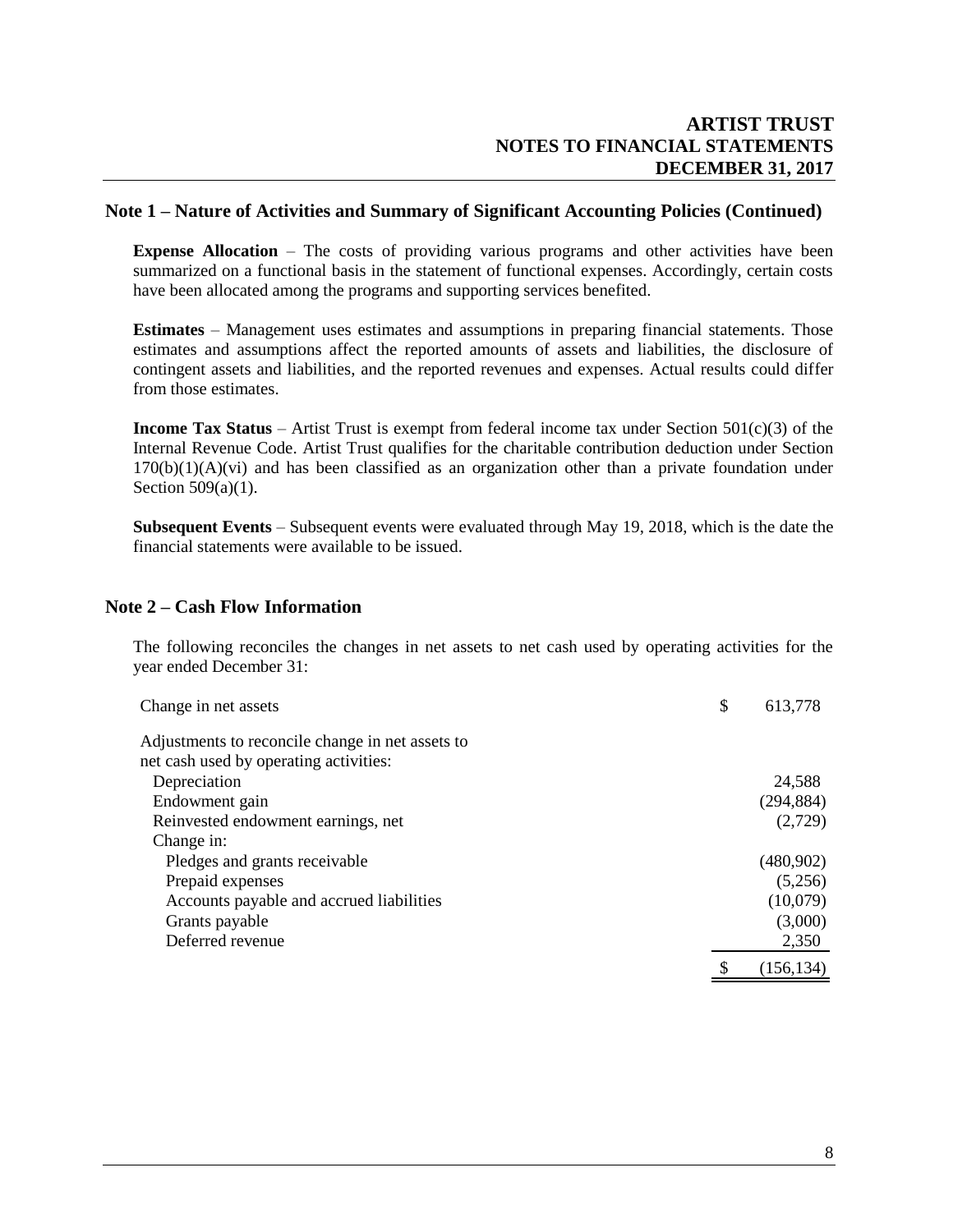#### **Note 1 – Nature of Activities and Summary of Significant Accounting Policies (Continued)**

**Expense Allocation** – The costs of providing various programs and other activities have been summarized on a functional basis in the statement of functional expenses. Accordingly, certain costs have been allocated among the programs and supporting services benefited.

**Estimates** – Management uses estimates and assumptions in preparing financial statements. Those estimates and assumptions affect the reported amounts of assets and liabilities, the disclosure of contingent assets and liabilities, and the reported revenues and expenses. Actual results could differ from those estimates.

**Income Tax Status** – Artist Trust is exempt from federal income tax under Section 501(c)(3) of the Internal Revenue Code. Artist Trust qualifies for the charitable contribution deduction under Section  $170(b)(1)(A)(vi)$  and has been classified as an organization other than a private foundation under Section 509(a)(1).

**Subsequent Events** – Subsequent events were evaluated through May 19, 2018, which is the date the financial statements were available to be issued.

#### **Note 2 – Cash Flow Information**

The following reconciles the changes in net assets to net cash used by operating activities for the year ended December 31:

| Change in net assets                             | \$<br>613,778 |
|--------------------------------------------------|---------------|
| Adjustments to reconcile change in net assets to |               |
| net cash used by operating activities:           |               |
| Depreciation                                     | 24,588        |
| Endowment gain                                   | (294, 884)    |
| Reinvested endowment earnings, net               | (2,729)       |
| Change in:                                       |               |
| Pledges and grants receivable                    | (480,902)     |
| Prepaid expenses                                 | (5,256)       |
| Accounts payable and accrued liabilities         | (10,079)      |
| Grants payable                                   | (3,000)       |
| Deferred revenue                                 | 2,350         |
|                                                  | (156, 134)    |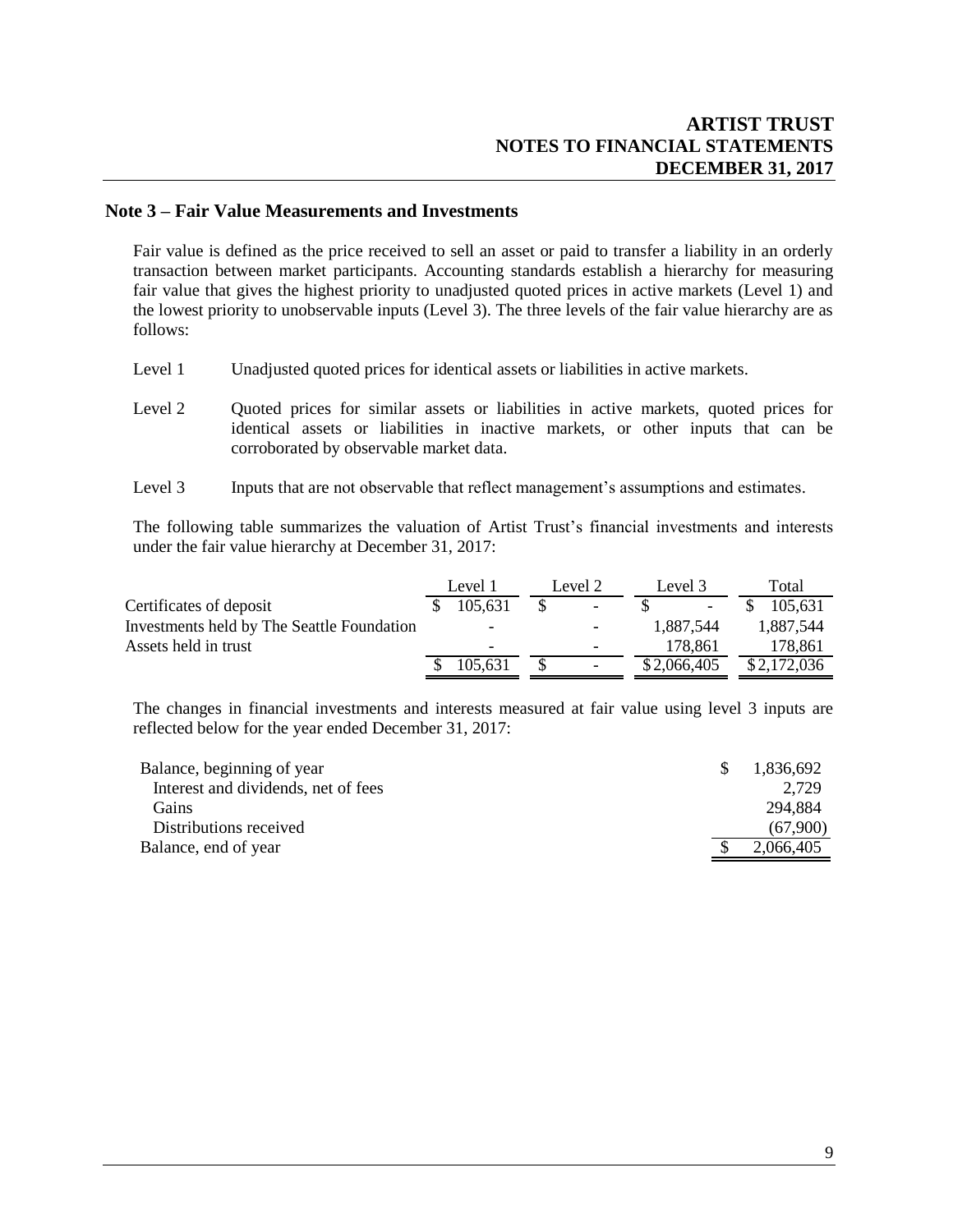#### **Note 3 – Fair Value Measurements and Investments**

Fair value is defined as the price received to sell an asset or paid to transfer a liability in an orderly transaction between market participants. Accounting standards establish a hierarchy for measuring fair value that gives the highest priority to unadjusted quoted prices in active markets (Level 1) and the lowest priority to unobservable inputs (Level 3). The three levels of the fair value hierarchy are as follows:

- Level 1 Unadjusted quoted prices for identical assets or liabilities in active markets.
- Level 2 Quoted prices for similar assets or liabilities in active markets, quoted prices for identical assets or liabilities in inactive markets, or other inputs that can be corroborated by observable market data.
- Level 3 Inputs that are not observable that reflect management's assumptions and estimates.

The following table summarizes the valuation of Artist Trust's financial investments and interests under the fair value hierarchy at December 31, 2017:

|                                                   | Level 1                  | Level 2                  | Level 3     | Total       |
|---------------------------------------------------|--------------------------|--------------------------|-------------|-------------|
| Certificates of deposit                           | 105,631                  | $\overline{\phantom{a}}$ |             | 105,631     |
| <b>Investments held by The Seattle Foundation</b> | -                        |                          | 1.887.544   | 1.887.544   |
| Assets held in trust                              | $\overline{\phantom{0}}$ | $\overline{\phantom{0}}$ | 178,861     | 178,861     |
|                                                   | 105,631                  | $\overline{\phantom{0}}$ | \$2,066,405 | \$2,172,036 |

The changes in financial investments and interests measured at fair value using level 3 inputs are reflected below for the year ended December 31, 2017:

| Balance, beginning of year          | 1,836,692 |
|-------------------------------------|-----------|
| Interest and dividends, net of fees | 2.729     |
| Gains                               | 294.884   |
| Distributions received              | (67,900)  |
| Balance, end of year                | 2,066,405 |
|                                     |           |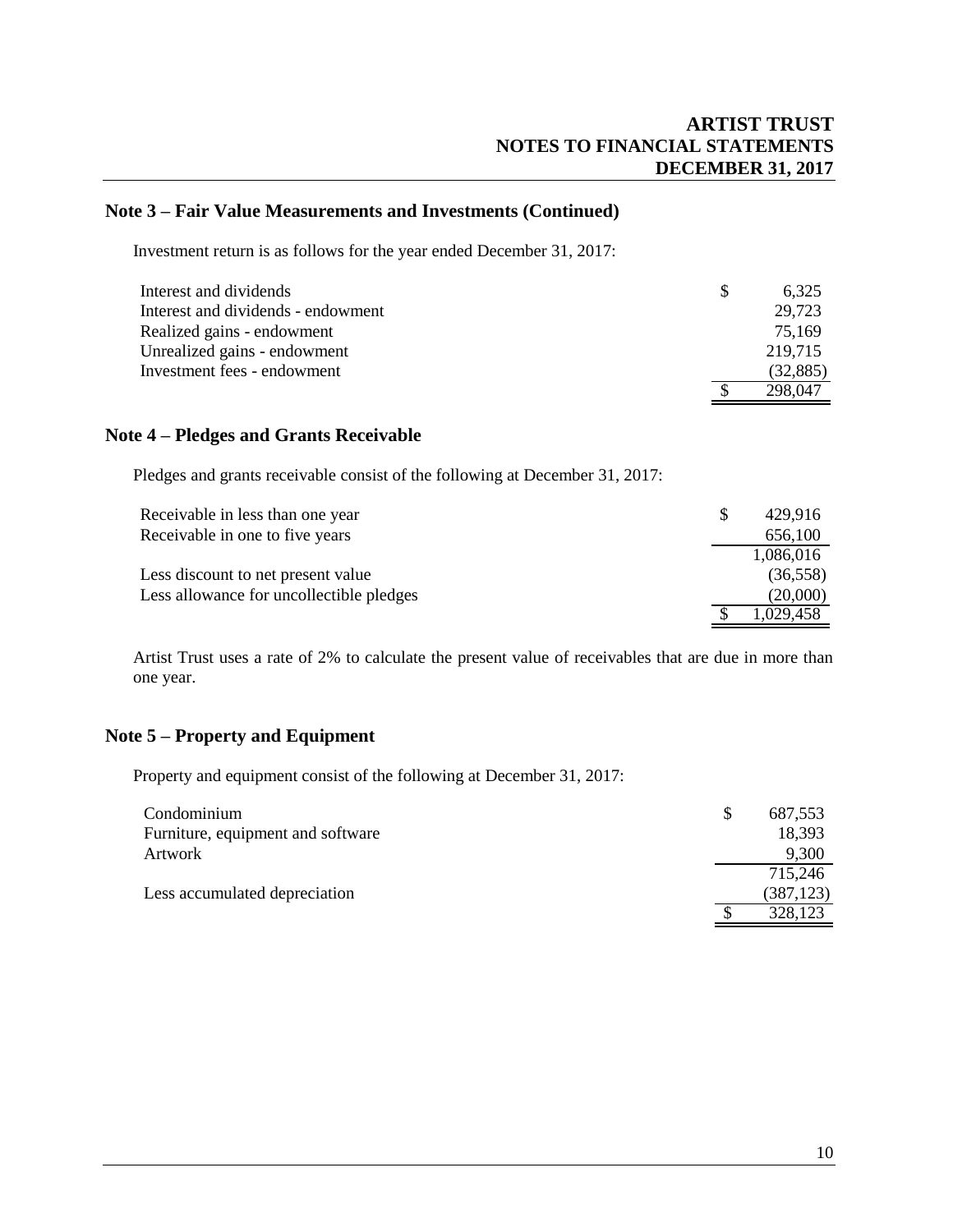#### **Note 3 – Fair Value Measurements and Investments (Continued)**

Investment return is as follows for the year ended December 31, 2017:

| Interest and dividends             | <sup>S</sup> | 6.325     |
|------------------------------------|--------------|-----------|
| Interest and dividends - endowment |              | 29,723    |
| Realized gains - endowment         |              | 75.169    |
| Unrealized gains - endowment       |              | 219,715   |
| Investment fees - endowment        |              | (32, 885) |
|                                    |              | 298.047   |

#### **Note 4 – Pledges and Grants Receivable**

Pledges and grants receivable consist of the following at December 31, 2017:

| Receivable in less than one year         | 429.916   |
|------------------------------------------|-----------|
| Receivable in one to five years          | 656,100   |
|                                          | 1,086,016 |
| Less discount to net present value       | (36, 558) |
| Less allowance for uncollectible pledges | (20,000)  |
|                                          | 1,029,458 |

Artist Trust uses a rate of 2% to calculate the present value of receivables that are due in more than one year.

### **Note 5 – Property and Equipment**

Property and equipment consist of the following at December 31, 2017:

| Condominium                       | 687,553    |
|-----------------------------------|------------|
| Furniture, equipment and software | 18,393     |
| Artwork                           | 9,300      |
|                                   | 715,246    |
| Less accumulated depreciation     | (387, 123) |
|                                   | 328,123    |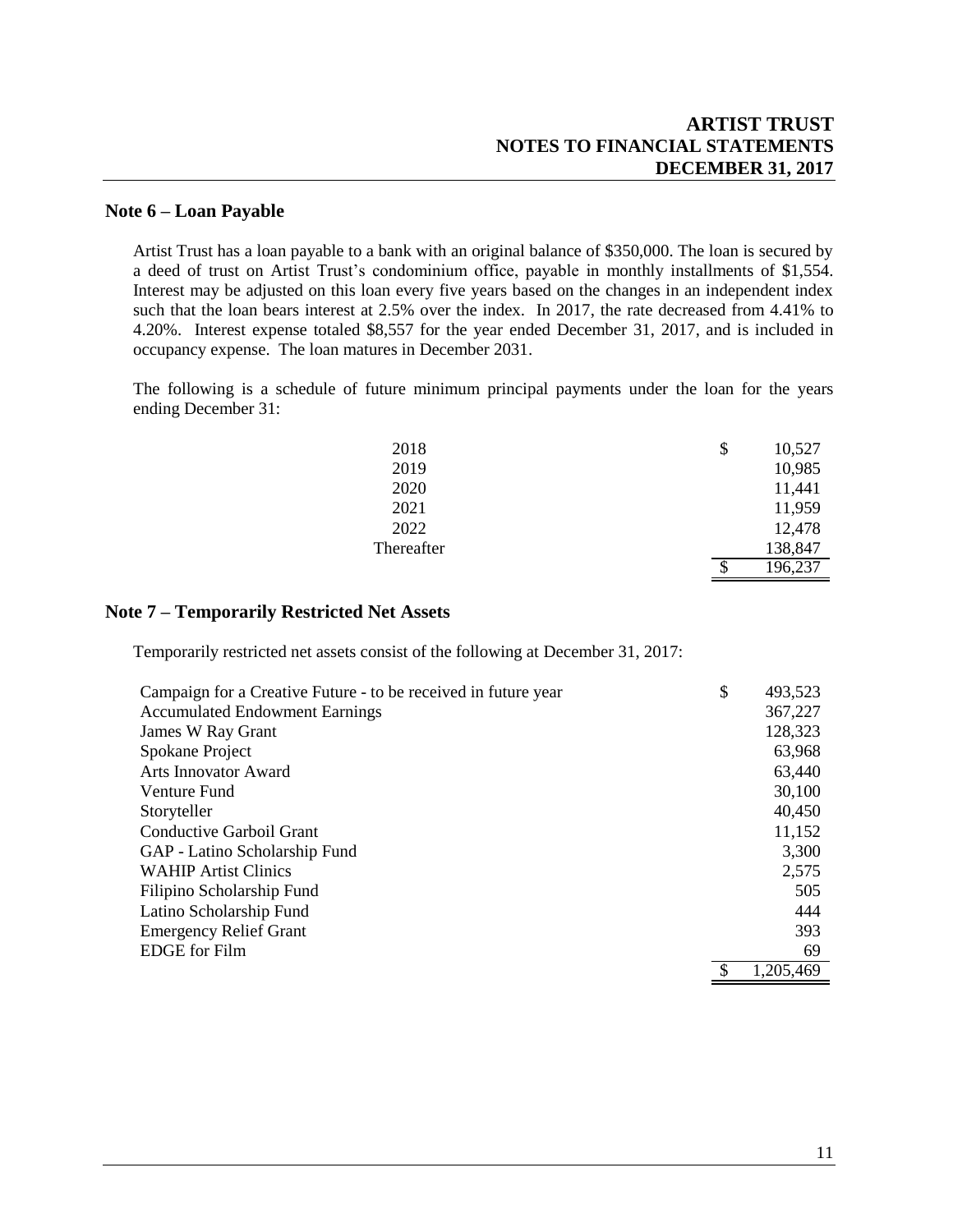#### **Note 6 – Loan Payable**

Artist Trust has a loan payable to a bank with an original balance of \$350,000. The loan is secured by a deed of trust on Artist Trust's condominium office, payable in monthly installments of \$1,554. Interest may be adjusted on this loan every five years based on the changes in an independent index such that the loan bears interest at 2.5% over the index. In 2017, the rate decreased from 4.41% to 4.20%. Interest expense totaled \$8,557 for the year ended December 31, 2017, and is included in occupancy expense. The loan matures in December 2031.

The following is a schedule of future minimum principal payments under the loan for the years ending December 31:

| 2018       | \$<br>10,527 |
|------------|--------------|
| 2019       | 10,985       |
| 2020       | 11,441       |
| 2021       | 11,959       |
| 2022       | 12,478       |
| Thereafter | 138,847      |
|            | 196,237      |

### **Note 7 – Temporarily Restricted Net Assets**

Temporarily restricted net assets consist of the following at December 31, 2017:

| Campaign for a Creative Future - to be received in future year | \$<br>493,523 |
|----------------------------------------------------------------|---------------|
| <b>Accumulated Endowment Earnings</b>                          | 367,227       |
| James W Ray Grant                                              | 128,323       |
| Spokane Project                                                | 63,968        |
| <b>Arts Innovator Award</b>                                    | 63,440        |
| Venture Fund                                                   | 30,100        |
| Storyteller                                                    | 40,450        |
| Conductive Garboil Grant                                       | 11,152        |
| GAP - Latino Scholarship Fund                                  | 3,300         |
| <b>WAHIP Artist Clinics</b>                                    | 2,575         |
| Filipino Scholarship Fund                                      | 505           |
| Latino Scholarship Fund                                        | 444           |
| <b>Emergency Relief Grant</b>                                  | 393           |
| <b>EDGE</b> for Film                                           | 69            |
|                                                                | 1,205,469     |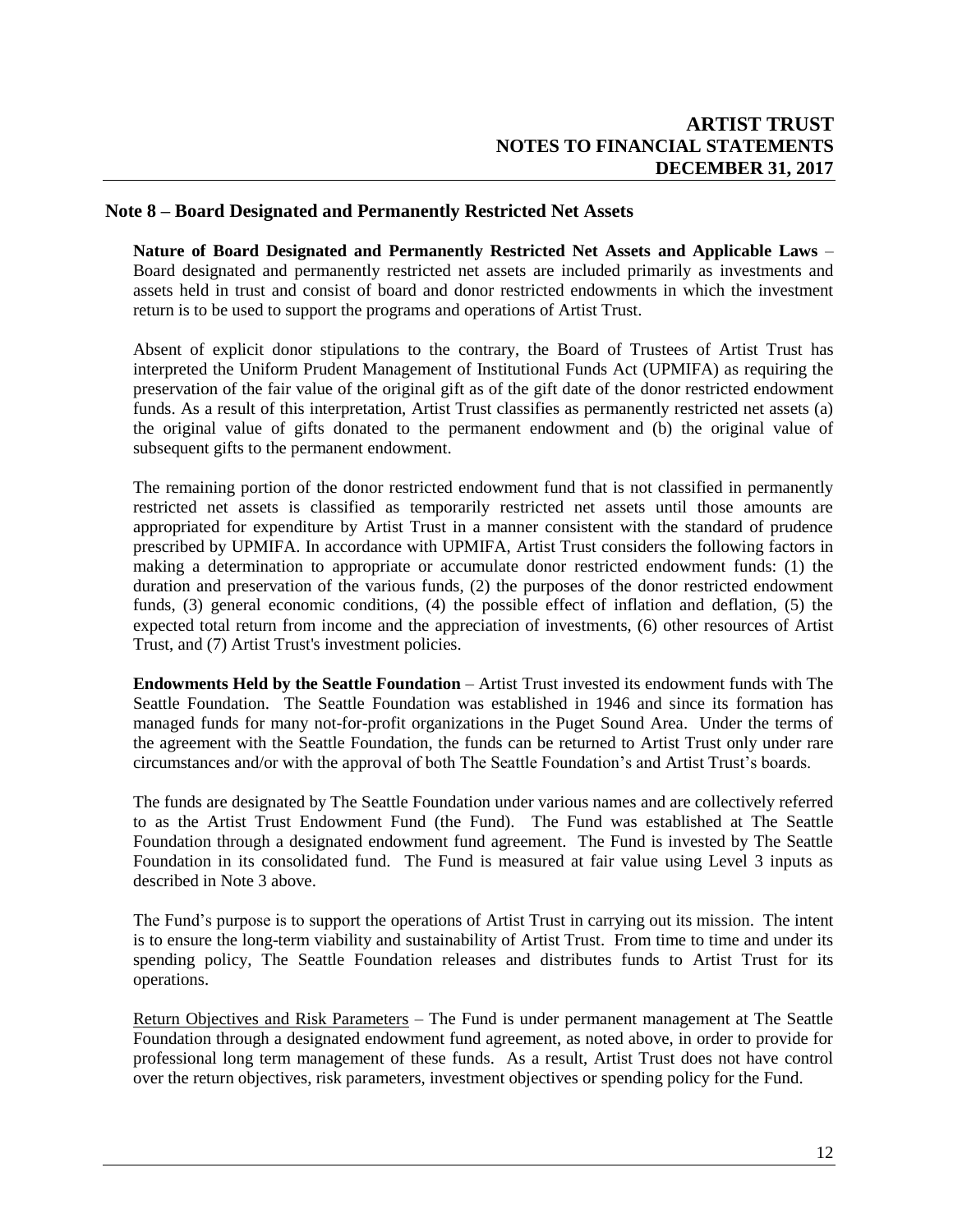#### **Note 8 – Board Designated and Permanently Restricted Net Assets**

**Nature of Board Designated and Permanently Restricted Net Assets and Applicable Laws** – Board designated and permanently restricted net assets are included primarily as investments and assets held in trust and consist of board and donor restricted endowments in which the investment return is to be used to support the programs and operations of Artist Trust.

Absent of explicit donor stipulations to the contrary, the Board of Trustees of Artist Trust has interpreted the Uniform Prudent Management of Institutional Funds Act (UPMIFA) as requiring the preservation of the fair value of the original gift as of the gift date of the donor restricted endowment funds. As a result of this interpretation, Artist Trust classifies as permanently restricted net assets (a) the original value of gifts donated to the permanent endowment and (b) the original value of subsequent gifts to the permanent endowment.

The remaining portion of the donor restricted endowment fund that is not classified in permanently restricted net assets is classified as temporarily restricted net assets until those amounts are appropriated for expenditure by Artist Trust in a manner consistent with the standard of prudence prescribed by UPMIFA. In accordance with UPMIFA, Artist Trust considers the following factors in making a determination to appropriate or accumulate donor restricted endowment funds: (1) the duration and preservation of the various funds, (2) the purposes of the donor restricted endowment funds, (3) general economic conditions, (4) the possible effect of inflation and deflation, (5) the expected total return from income and the appreciation of investments, (6) other resources of Artist Trust, and (7) Artist Trust's investment policies.

**Endowments Held by the Seattle Foundation** – Artist Trust invested its endowment funds with The Seattle Foundation. The Seattle Foundation was established in 1946 and since its formation has managed funds for many not-for-profit organizations in the Puget Sound Area. Under the terms of the agreement with the Seattle Foundation, the funds can be returned to Artist Trust only under rare circumstances and/or with the approval of both The Seattle Foundation's and Artist Trust's boards.

The funds are designated by The Seattle Foundation under various names and are collectively referred to as the Artist Trust Endowment Fund (the Fund). The Fund was established at The Seattle Foundation through a designated endowment fund agreement. The Fund is invested by The Seattle Foundation in its consolidated fund. The Fund is measured at fair value using Level 3 inputs as described in Note 3 above.

The Fund's purpose is to support the operations of Artist Trust in carrying out its mission. The intent is to ensure the long-term viability and sustainability of Artist Trust. From time to time and under its spending policy, The Seattle Foundation releases and distributes funds to Artist Trust for its operations.

Return Objectives and Risk Parameters – The Fund is under permanent management at The Seattle Foundation through a designated endowment fund agreement, as noted above, in order to provide for professional long term management of these funds. As a result, Artist Trust does not have control over the return objectives, risk parameters, investment objectives or spending policy for the Fund.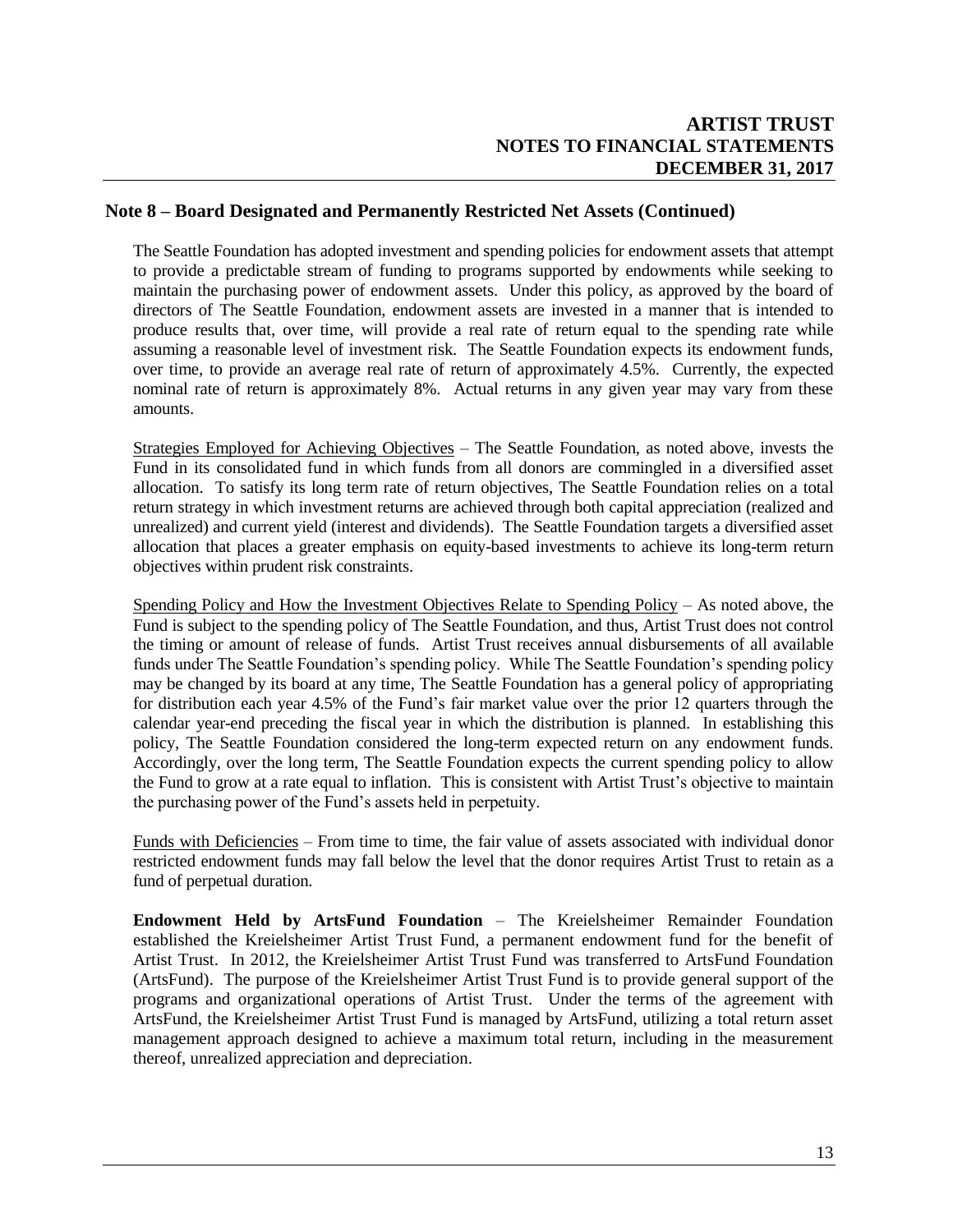### **Note 8 – Board Designated and Permanently Restricted Net Assets (Continued)**

The Seattle Foundation has adopted investment and spending policies for endowment assets that attempt to provide a predictable stream of funding to programs supported by endowments while seeking to maintain the purchasing power of endowment assets. Under this policy, as approved by the board of directors of The Seattle Foundation, endowment assets are invested in a manner that is intended to produce results that, over time, will provide a real rate of return equal to the spending rate while assuming a reasonable level of investment risk. The Seattle Foundation expects its endowment funds, over time, to provide an average real rate of return of approximately 4.5%. Currently, the expected nominal rate of return is approximately 8%. Actual returns in any given year may vary from these amounts.

Strategies Employed for Achieving Objectives – The Seattle Foundation, as noted above, invests the Fund in its consolidated fund in which funds from all donors are commingled in a diversified asset allocation. To satisfy its long term rate of return objectives, The Seattle Foundation relies on a total return strategy in which investment returns are achieved through both capital appreciation (realized and unrealized) and current yield (interest and dividends). The Seattle Foundation targets a diversified asset allocation that places a greater emphasis on equity-based investments to achieve its long-term return objectives within prudent risk constraints.

Spending Policy and How the Investment Objectives Relate to Spending Policy – As noted above, the Fund is subject to the spending policy of The Seattle Foundation, and thus, Artist Trust does not control the timing or amount of release of funds. Artist Trust receives annual disbursements of all available funds under The Seattle Foundation's spending policy. While The Seattle Foundation's spending policy may be changed by its board at any time, The Seattle Foundation has a general policy of appropriating for distribution each year 4.5% of the Fund's fair market value over the prior 12 quarters through the calendar year-end preceding the fiscal year in which the distribution is planned. In establishing this policy, The Seattle Foundation considered the long-term expected return on any endowment funds. Accordingly, over the long term, The Seattle Foundation expects the current spending policy to allow the Fund to grow at a rate equal to inflation. This is consistent with Artist Trust's objective to maintain the purchasing power of the Fund's assets held in perpetuity.

Funds with Deficiencies – From time to time, the fair value of assets associated with individual donor restricted endowment funds may fall below the level that the donor requires Artist Trust to retain as a fund of perpetual duration.

**Endowment Held by ArtsFund Foundation** – The Kreielsheimer Remainder Foundation established the Kreielsheimer Artist Trust Fund, a permanent endowment fund for the benefit of Artist Trust. In 2012, the Kreielsheimer Artist Trust Fund was transferred to ArtsFund Foundation (ArtsFund). The purpose of the Kreielsheimer Artist Trust Fund is to provide general support of the programs and organizational operations of Artist Trust. Under the terms of the agreement with ArtsFund, the Kreielsheimer Artist Trust Fund is managed by ArtsFund, utilizing a total return asset management approach designed to achieve a maximum total return, including in the measurement thereof, unrealized appreciation and depreciation.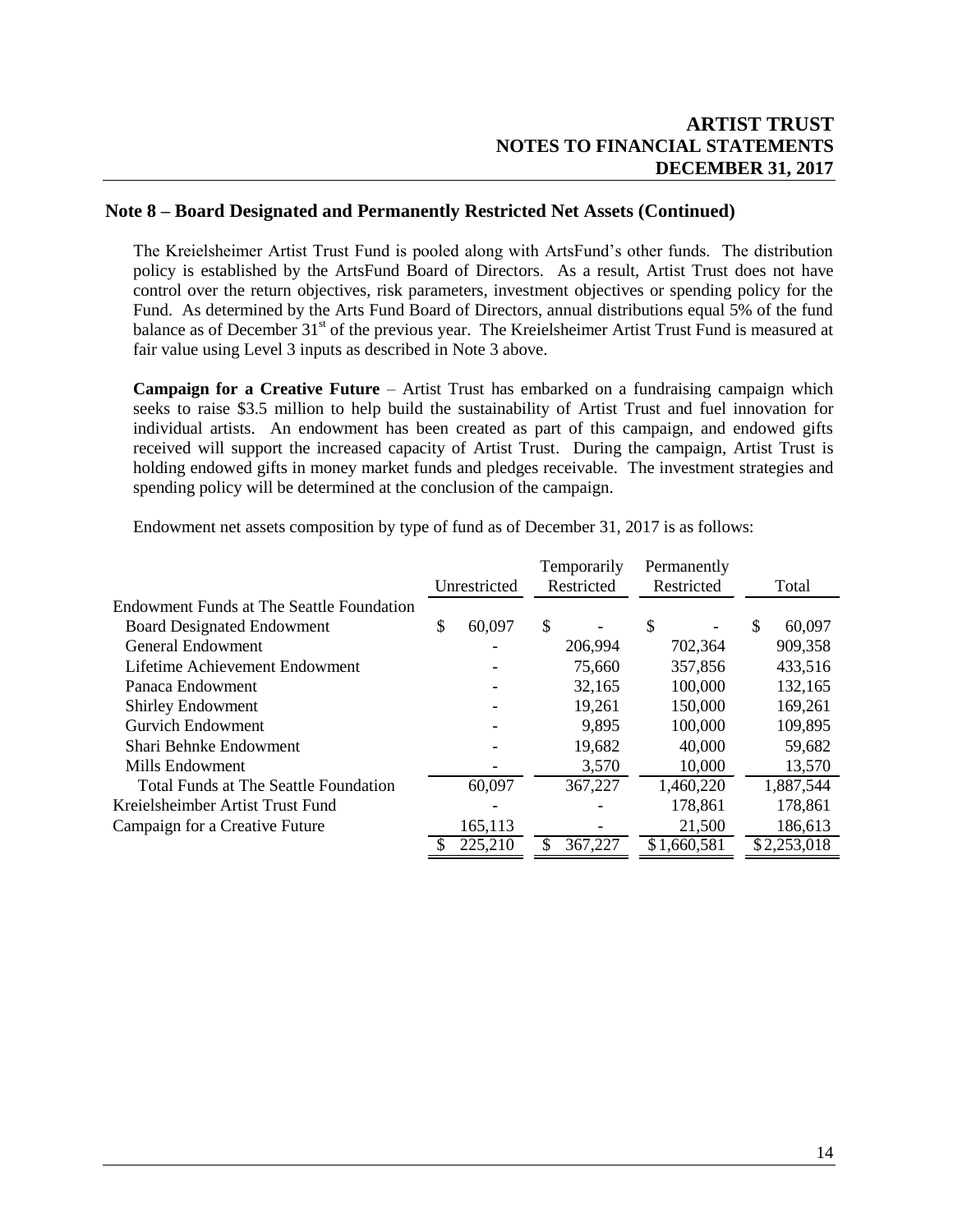#### **Note 8 – Board Designated and Permanently Restricted Net Assets (Continued)**

The Kreielsheimer Artist Trust Fund is pooled along with ArtsFund's other funds. The distribution policy is established by the ArtsFund Board of Directors. As a result, Artist Trust does not have control over the return objectives, risk parameters, investment objectives or spending policy for the Fund. As determined by the Arts Fund Board of Directors, annual distributions equal 5% of the fund balance as of December 31<sup>st</sup> of the previous year. The Kreielsheimer Artist Trust Fund is measured at fair value using Level 3 inputs as described in Note 3 above.

**Campaign for a Creative Future** – Artist Trust has embarked on a fundraising campaign which seeks to raise \$3.5 million to help build the sustainability of Artist Trust and fuel innovation for individual artists. An endowment has been created as part of this campaign, and endowed gifts received will support the increased capacity of Artist Trust. During the campaign, Artist Trust is holding endowed gifts in money market funds and pledges receivable. The investment strategies and spending policy will be determined at the conclusion of the campaign.

|                                           |              |         |            | Temporarily |            | Permanently |       |             |
|-------------------------------------------|--------------|---------|------------|-------------|------------|-------------|-------|-------------|
|                                           | Unrestricted |         | Restricted |             | Restricted |             | Total |             |
| Endowment Funds at The Seattle Foundation |              |         |            |             |            |             |       |             |
| <b>Board Designated Endowment</b>         | \$           | 60,097  | \$         |             | S          |             | S     | 60,097      |
| <b>General Endowment</b>                  |              |         |            | 206,994     |            | 702,364     |       | 909,358     |
| Lifetime Achievement Endowment            |              |         |            | 75,660      |            | 357,856     |       | 433,516     |
| Panaca Endowment                          |              |         |            | 32,165      |            | 100,000     |       | 132,165     |
| <b>Shirley Endowment</b>                  |              |         |            | 19,261      |            | 150,000     |       | 169,261     |
| <b>Gurvich Endowment</b>                  |              |         |            | 9,895       |            | 100,000     |       | 109,895     |
| Shari Behnke Endowment                    |              |         |            | 19,682      |            | 40,000      |       | 59,682      |
| Mills Endowment                           |              |         |            | 3,570       |            | 10,000      |       | 13,570      |
| Total Funds at The Seattle Foundation     |              | 60,097  |            | 367,227     |            | 1,460,220   |       | 1,887,544   |
| Kreielsheimber Artist Trust Fund          |              |         |            |             |            | 178,861     |       | 178,861     |
| Campaign for a Creative Future            |              | 165,113 |            |             |            | 21,500      |       | 186,613     |
|                                           |              | 225,210 |            | 367,227     |            | \$1,660,581 |       | \$2,253,018 |

Endowment net assets composition by type of fund as of December 31, 2017 is as follows: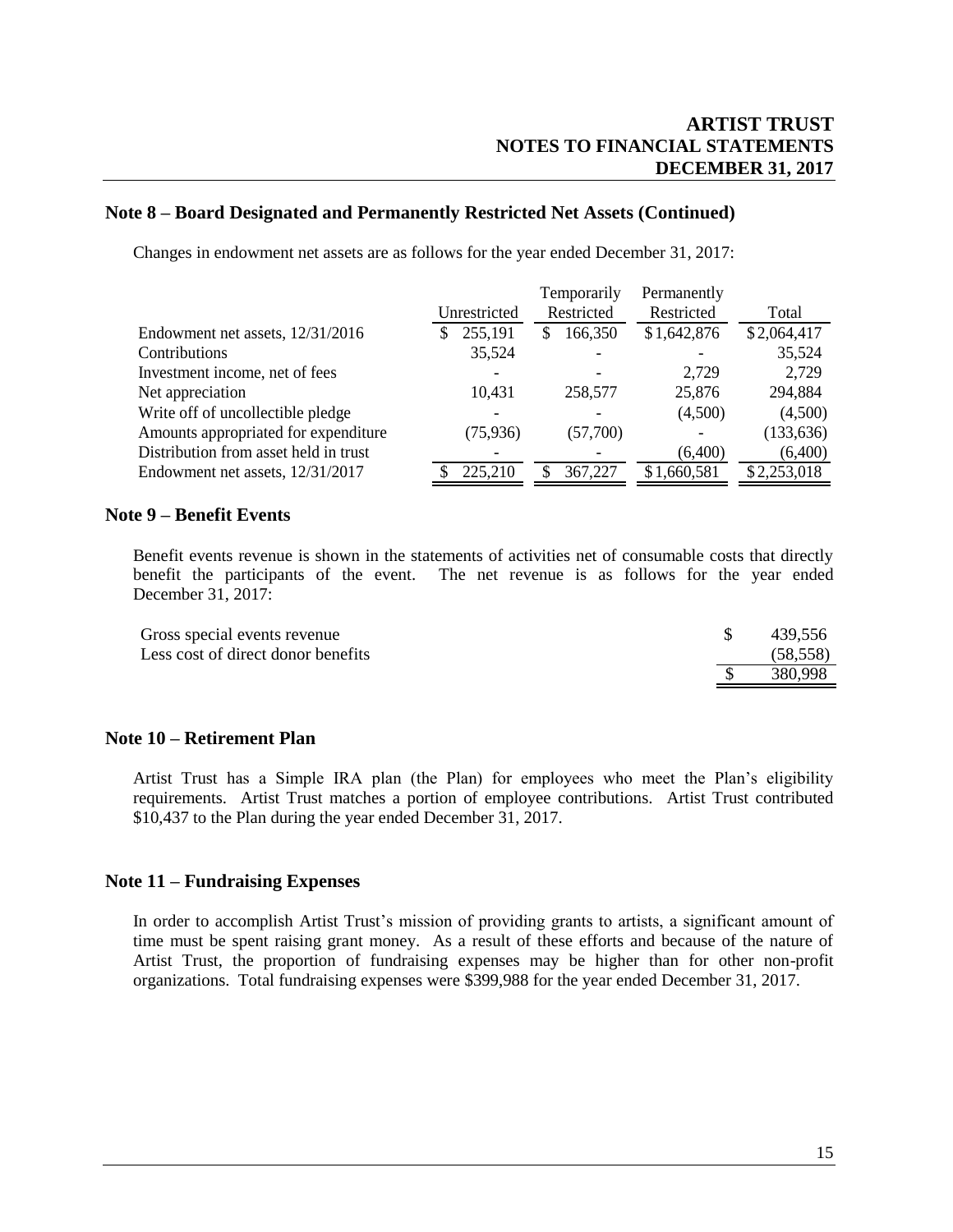### **Note 8 – Board Designated and Permanently Restricted Net Assets (Continued)**

Changes in endowment net assets are as follows for the year ended December 31, 2017:

|              | Temporarily  | Permanently |             |
|--------------|--------------|-------------|-------------|
| Unrestricted | Restricted   | Restricted  | Total       |
| 255,191      | 166,350<br>S | \$1,642,876 | \$2,064,417 |
| 35,524       |              |             | 35,524      |
|              |              | 2,729       | 2,729       |
| 10,431       | 258,577      | 25,876      | 294,884     |
|              |              | (4,500)     | (4,500)     |
| (75, 936)    | (57,700)     |             | (133, 636)  |
|              |              | (6,400)     | (6,400)     |
| 225.210      | 367,227      | \$1,660,581 | \$2,253,018 |
|              |              |             |             |

#### **Note 9 – Benefit Events**

Benefit events revenue is shown in the statements of activities net of consumable costs that directly benefit the participants of the event. The net revenue is as follows for the year ended December 31, 2017:

| Gross special events revenue       | 439.556  |
|------------------------------------|----------|
| Less cost of direct donor benefits | (58.558) |
|                                    | 380.998  |

### **Note 10 – Retirement Plan**

Artist Trust has a Simple IRA plan (the Plan) for employees who meet the Plan's eligibility requirements. Artist Trust matches a portion of employee contributions. Artist Trust contributed \$10,437 to the Plan during the year ended December 31, 2017.

#### **Note 11 – Fundraising Expenses**

In order to accomplish Artist Trust's mission of providing grants to artists, a significant amount of time must be spent raising grant money. As a result of these efforts and because of the nature of Artist Trust, the proportion of fundraising expenses may be higher than for other non-profit organizations. Total fundraising expenses were \$399,988 for the year ended December 31, 2017.